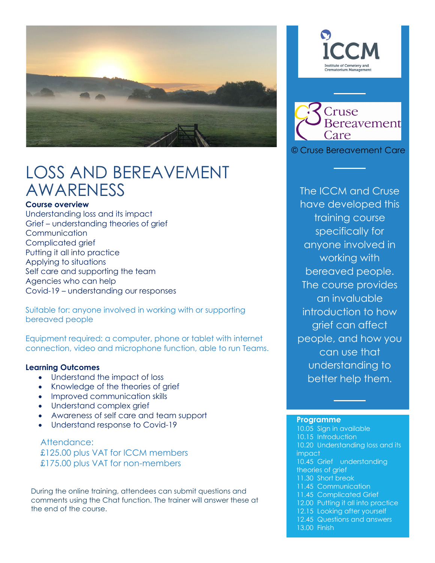

# LOSS AND BEREAVEMENT AWARENESS

### **Course overview**

Understanding loss and its impact Grief – understanding theories of grief Communication Complicated grief Putting it all into practice Applying to situations Self care and supporting the team Agencies who can help Covid-19 – understanding our responses

Suitable for: anyone involved in working with or supporting bereaved people

Equipment required: a computer, phone or tablet with internet connection, video and microphone function, able to run Teams.

### **Learning Outcomes**

- Understand the impact of loss
- Knowledge of the theories of grief
- Improved communication skills
- Understand complex grief
- Awareness of self care and team support
- Understand response to Covid-19

Attendance: £125.00 plus VAT for ICCM members £175.00 plus VAT for non-members

During the online training, attendees can submit questions and comments using the Chat function. The trainer will answer these at the end of the course.





© Cruse Bereavement Care

The ICCM and Cruse have developed this training course specifically for anyone involved in working with bereaved people. The course provides an invaluable introduction to how grief can affect people, and how you can use that understanding to better help them.

#### **Programme**

10.05 Sign in available 10.15 Introduction 10.20 Understanding loss and its impact 10.45 Grief understanding theories of grief 11.30 Short break 11.45 Communication 11.45 Complicated Grief 12.00 Putting it all into practice 12.15 Looking after yourself 12.45 Questions and answers 13.00 Finish